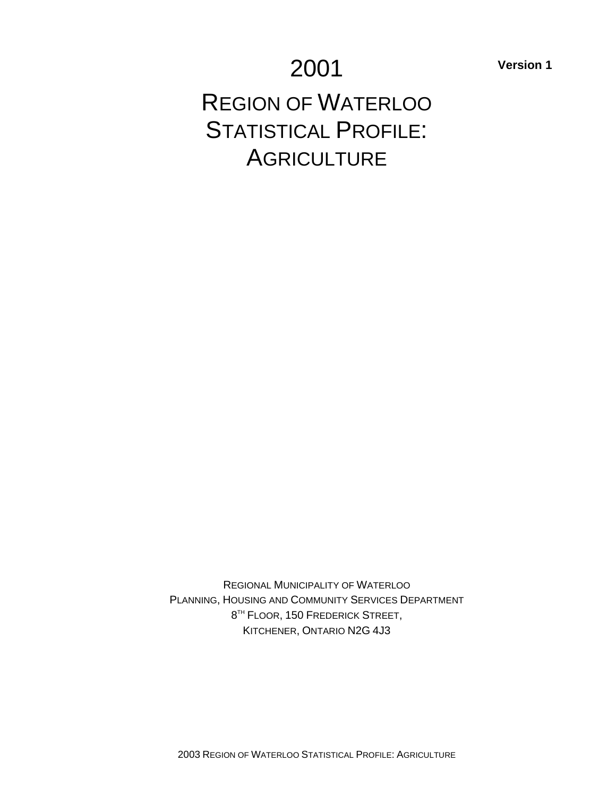## 2001

## REGION OF WATERLOO STATISTICAL PROFILE: **AGRICULTURE**

REGIONAL MUNICIPALITY OF WATERLOO PLANNING, HOUSING AND COMMUNITY SERVICES DEPARTMENT 8<sup>TH</sup> FLOOR, 150 FREDERICK STREET, KITCHENER, ONTARIO N2G 4J3

2003 REGION OF WATERLOO STATISTICAL PROFILE: AGRICULTURE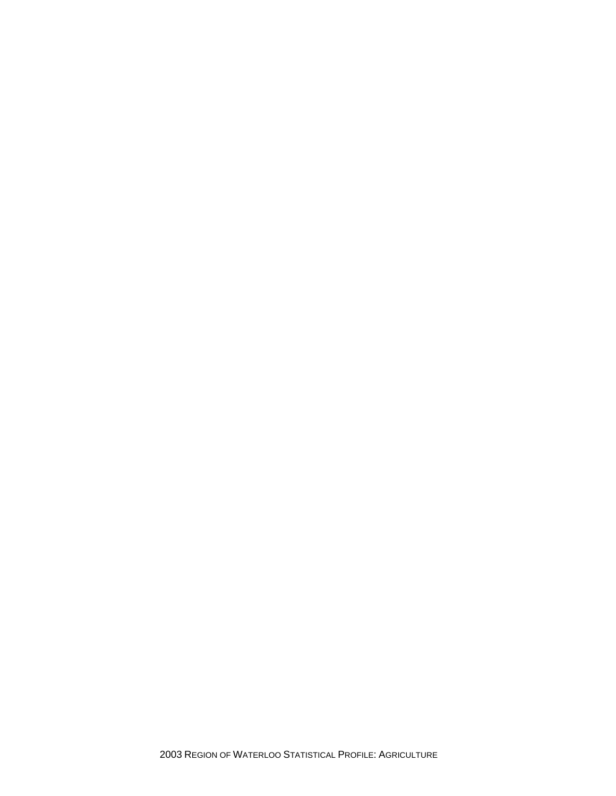REGION OF WATERLOO STATISTICAL PROFILE: AGRICULTURE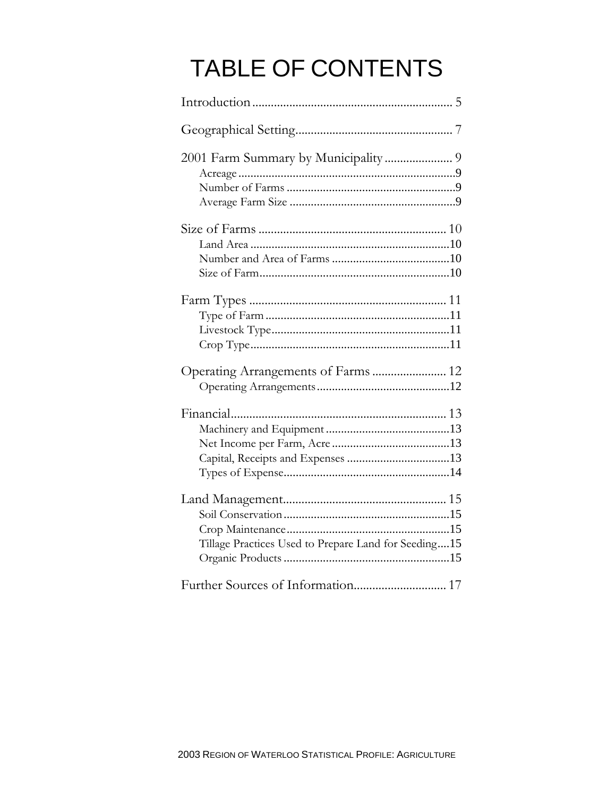# **TABLE OF CONTENTS**

| 2001 Farm Summary by Municipality  9                 |  |
|------------------------------------------------------|--|
|                                                      |  |
|                                                      |  |
|                                                      |  |
|                                                      |  |
|                                                      |  |
|                                                      |  |
|                                                      |  |
|                                                      |  |
|                                                      |  |
|                                                      |  |
|                                                      |  |
| Operating Arrangements of Farms  12                  |  |
|                                                      |  |
|                                                      |  |
|                                                      |  |
|                                                      |  |
|                                                      |  |
|                                                      |  |
|                                                      |  |
|                                                      |  |
|                                                      |  |
| Tillage Practices Used to Prepare Land for Seeding15 |  |
|                                                      |  |
| Further Sources of Information 17                    |  |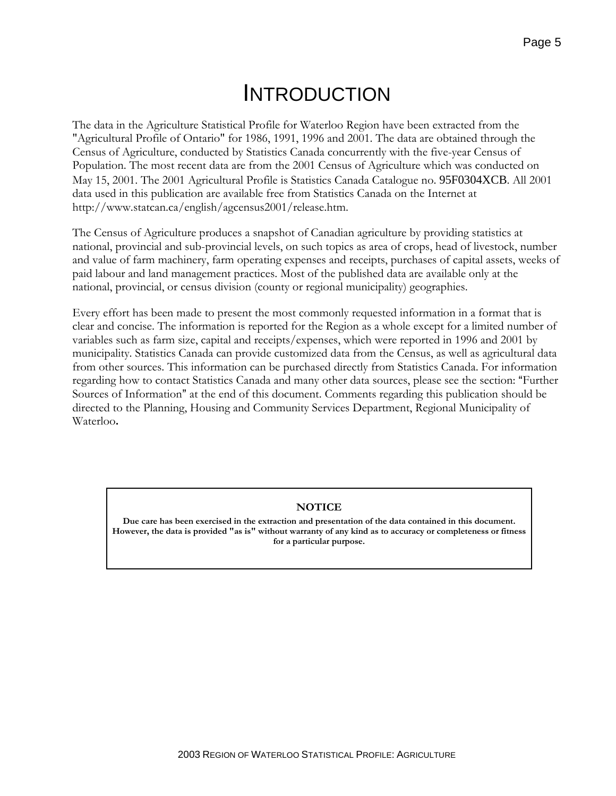## **INTRODUCTION**

The data in the Agriculture Statistical Profile for Waterloo Region have been extracted from the "Agricultural Profile of Ontario" for 1986, 1991, 1996 and 2001. The data are obtained through the Census of Agriculture, conducted by Statistics Canada concurrently with the five-year Census of Population. The most recent data are from the 2001 Census of Agriculture which was conducted on May 15, 2001. The 2001 Agricultural Profile is Statistics Canada Catalogue no. 95F0304XCB. All 2001 data used in this publication are available free from Statistics Canada on the Internet at http://www.statcan.ca/english/agcensus2001/release.htm.

The Census of Agriculture produces a snapshot of Canadian agriculture by providing statistics at national, provincial and sub-provincial levels, on such topics as area of crops, head of livestock, number and value of farm machinery, farm operating expenses and receipts, purchases of capital assets, weeks of paid labour and land management practices. Most of the published data are available only at the national, provincial, or census division (county or regional municipality) geographies.

Every effort has been made to present the most commonly requested information in a format that is clear and concise. The information is reported for the Region as a whole except for a limited number of variables such as farm size, capital and receipts/expenses, which were reported in 1996 and 2001 by municipality. Statistics Canada can provide customized data from the Census, as well as agricultural data from other sources. This information can be purchased directly from Statistics Canada. For information regarding how to contact Statistics Canada and many other data sources, please see the section: "Further Sources of Information" at the end of this document. Comments regarding this publication should be directed to the Planning, Housing and Community Services Department, Regional Municipality of Waterloo**.** 

#### **NOTICE**

**Due care has been exercised in the extraction and presentation of the data contained in this document. However, the data is provided "as is" without warranty of any kind as to accuracy or completeness or fitness for a particular purpose.**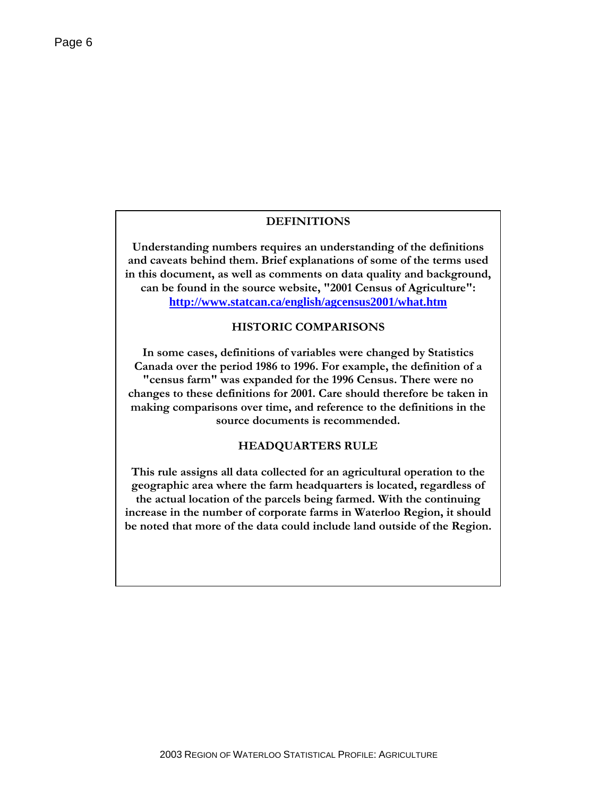#### **DEFINITIONS**

**Understanding numbers requires an understanding of the definitions and caveats behind them. Brief explanations of some of the terms used in this document, as well as comments on data quality and background, can be found in the source website, "2001 Census of Agriculture": http://www.statcan.ca/english/agcensus2001/what.htm**

#### **HISTORIC COMPARISONS**

**In some cases, definitions of variables were changed by Statistics Canada over the period 1986 to 1996. For example, the definition of a "census farm" was expanded for the 1996 Census. There were no changes to these definitions for 2001. Care should therefore be taken in making comparisons over time, and reference to the definitions in the source documents is recommended.** 

#### **HEADQUARTERS RULE**

**This rule assigns all data collected for an agricultural operation to the geographic area where the farm headquarters is located, regardless of the actual location of the parcels being farmed. With the continuing increase in the number of corporate farms in Waterloo Region, it should be noted that more of the data could include land outside of the Region.**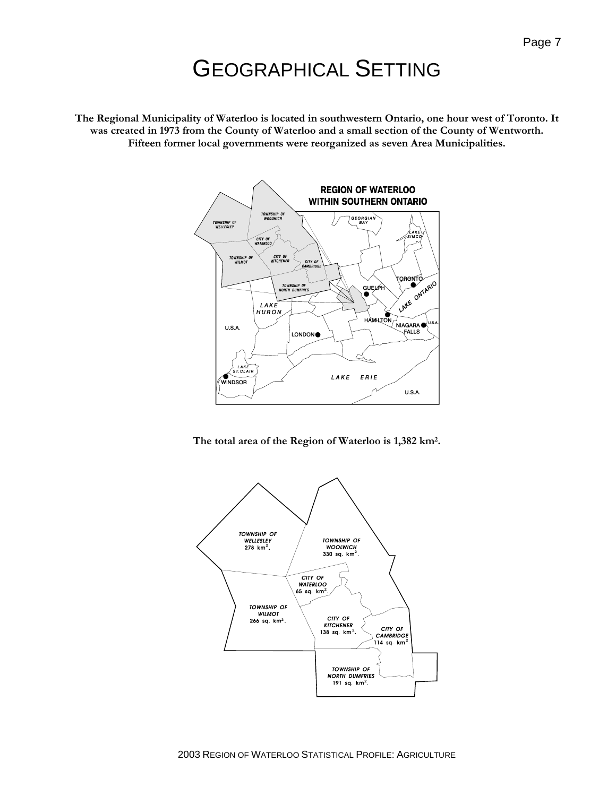## GEOGRAPHICAL SETTING

**The Regional Municipality of Waterloo is located in southwestern Ontario, one hour west of Toronto. It was created in 1973 from the County of Waterloo and a small section of the County of Wentworth. Fifteen former local governments were reorganized as seven Area Municipalities.** 



#### **The total area of the Region of Waterloo is 1,382 km2.**

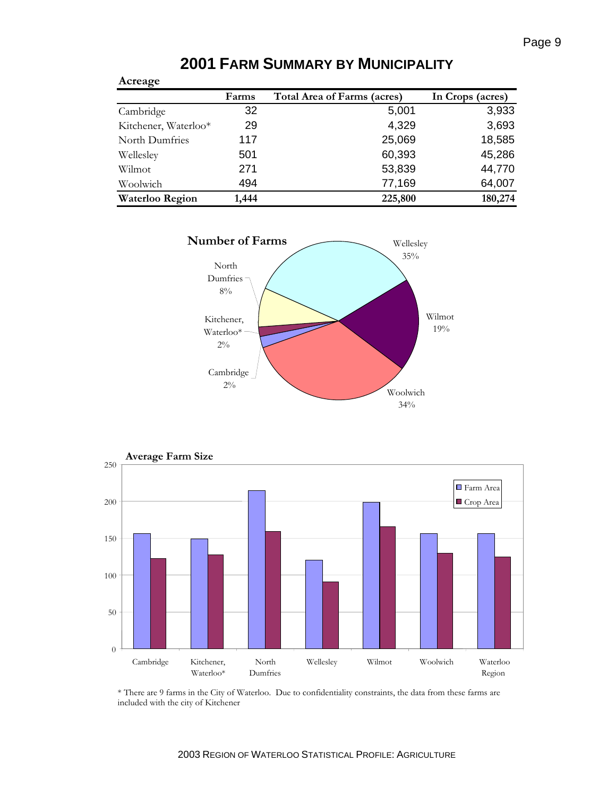| $\cdot$                |       |                                    |                  |
|------------------------|-------|------------------------------------|------------------|
|                        | Farms | <b>Total Area of Farms (acres)</b> | In Crops (acres) |
| Cambridge              | 32    | 5,001                              | 3,933            |
| Kitchener, Waterloo*   | 29    | 4,329                              | 3,693            |
| North Dumfries         | 117   | 25,069                             | 18,585           |
| Wellesley              | 501   | 60,393                             | 45,286           |
| Wilmot                 | 271   | 53,839                             | 44,770           |
| Woolwich               | 494   | 77,169                             | 64,007           |
| <b>Waterloo Region</b> | 1,444 | 225,800                            | 180,274          |

### **2001 FARM SUMMARY BY MUNICIPALITY**

**Acreage**





\* There are 9 farms in the City of Waterloo. Due to confidentiality constraints, the data from these farms are included with the city of Kitchener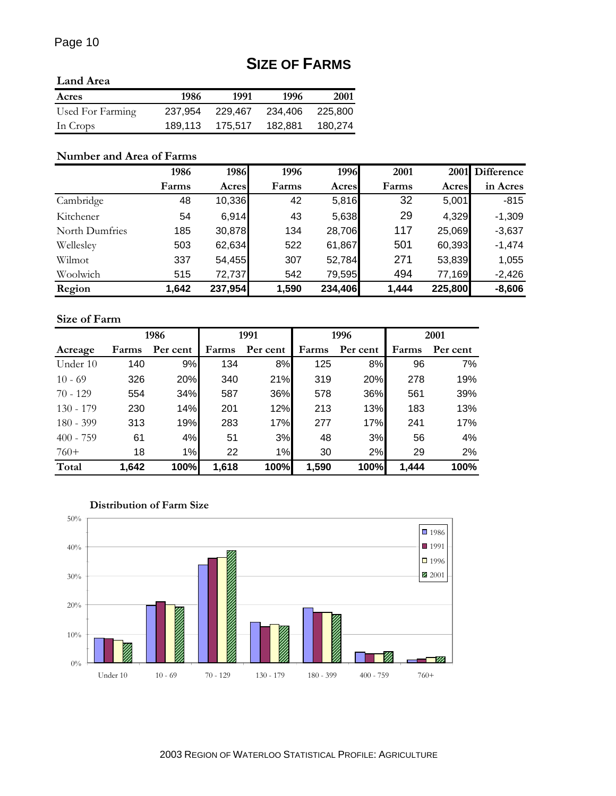### **SIZE OF FARMS**

| Land Area        |         |         |         |         |
|------------------|---------|---------|---------|---------|
| Acres            | 1986    | 1991    | 1996    | 2001    |
| Used For Farming | 237.954 | 229.467 | 234.406 | 225.800 |
| In Crops         | 189.113 | 175.517 | 182.881 | 180.274 |

#### **Number and Area of Farms**

|                | 1986  | 1986    | 1996  | 1996    | 2001  |         | 2001 Difference |
|----------------|-------|---------|-------|---------|-------|---------|-----------------|
|                | Farms | Acres   | Farms | Acres   | Farms | Acres   | in Acres        |
| Cambridge      | 48    | 10,336  | 42    | 5,816   | 32    | 5,001   | $-815$          |
| Kitchener      | 54    | 6,914   | 43    | 5,638   | 29    | 4,329   | $-1,309$        |
| North Dumfries | 185   | 30,878  | 134   | 28,706  | 117   | 25,069  | $-3,637$        |
| Wellesley      | 503   | 62,634  | 522   | 61,867  | 501   | 60,393  | $-1,474$        |
| Wilmot         | 337   | 54,455  | 307   | 52,784  | 271   | 53,839  | 1,055           |
| Woolwich       | 515   | 72,737  | 542   | 79,595  | 494   | 77,169  | $-2,426$        |
| Region         | 1,642 | 237,954 | 1,590 | 234,406 | 1,444 | 225,800 | $-8,606$        |

#### **Size of Farm**

|             |       | 1986     | 1991  |          | 1996  |          | 2001  |          |
|-------------|-------|----------|-------|----------|-------|----------|-------|----------|
| Acreage     | Farms | Per cent | Farms | Per cent | Farms | Per cent | Farms | Per cent |
| Under 10    | 140   | 9%       | 134   | 8%       | 125   | 8%       | 96    | 7%       |
| $10 - 69$   | 326   | 20%      | 340   | 21%      | 319   | 20%      | 278   | 19%      |
| $70 - 129$  | 554   | 34%      | 587   | 36%      | 578   | 36%      | 561   | 39%      |
| $130 - 179$ | 230   | 14%      | 201   | 12%      | 213   | 13%      | 183   | 13%      |
| $180 - 399$ | 313   | 19%      | 283   | 17%      | 277   | 17%      | 241   | 17%      |
| $400 - 759$ | 61    | 4%       | 51    | 3%       | 48    | 3%       | 56    | 4%       |
| $760+$      | 18    | 1%       | 22    | 1%       | 30    | 2%       | 29    | 2%       |
| Total       | 1,642 | 100%     | 1,618 | 100%     | 1,590 | 100%     | 1,444 | 100%     |



**Distribution of Farm Size**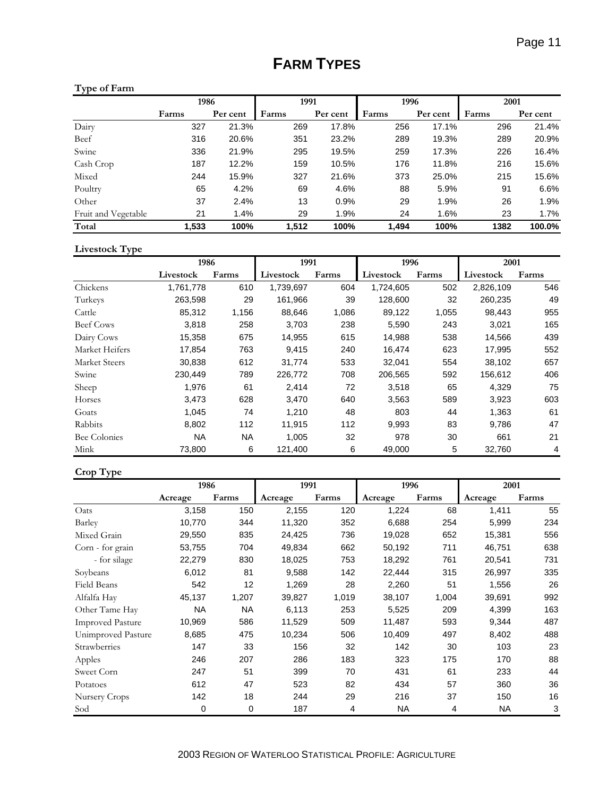## **FARM TYPES**

#### **Type of Farm**

|                     | 1986  |          | 1991  |          | 1996  |          | 2001  |          |
|---------------------|-------|----------|-------|----------|-------|----------|-------|----------|
|                     | Farms | Per cent | Farms | Per cent | Farms | Per cent | Farms | Per cent |
| Dairy               | 327   | 21.3%    | 269   | 17.8%    | 256   | 17.1%    | 296   | 21.4%    |
| Beef                | 316   | 20.6%    | 351   | 23.2%    | 289   | 19.3%    | 289   | 20.9%    |
| Swine               | 336   | 21.9%    | 295   | 19.5%    | 259   | 17.3%    | 226   | 16.4%    |
| Cash Crop           | 187   | 12.2%    | 159   | 10.5%    | 176   | 11.8%    | 216   | 15.6%    |
| Mixed               | 244   | 15.9%    | 327   | 21.6%    | 373   | 25.0%    | 215   | 15.6%    |
| Poultry             | 65    | 4.2%     | 69    | 4.6%     | 88    | 5.9%     | 91    | 6.6%     |
| Other               | 37    | 2.4%     | 13    | 0.9%     | 29    | 1.9%     | 26    | 1.9%     |
| Fruit and Vegetable | 21    | 1.4%     | 29    | 1.9%     | 24    | 1.6%     | 23    | 1.7%     |
| Total               | 1,533 | 100%     | 1.512 | 100%     | 1.494 | 100%     | 1382  | 100.0%   |

#### **Livestock Type**

| ╯∸                   | 1986      |       | 1991      |       | 1996      |       | 2001      |       |
|----------------------|-----------|-------|-----------|-------|-----------|-------|-----------|-------|
|                      | Livestock | Farms | Livestock | Farms | Livestock | Farms | Livestock | Farms |
| Chickens             | 1,761,778 | 610   | 1,739,697 | 604   | 1,724,605 | 502   | 2,826,109 | 546   |
| Turkeys              | 263,598   | 29    | 161,966   | 39    | 128,600   | 32    | 260.235   | 49    |
| Cattle               | 85,312    | 1,156 | 88,646    | 1,086 | 89,122    | 1,055 | 98,443    | 955   |
| Beef Cows            | 3,818     | 258   | 3,703     | 238   | 5,590     | 243   | 3,021     | 165   |
| Dairy Cows           | 15,358    | 675   | 14,955    | 615   | 14,988    | 538   | 14,566    | 439   |
| Market Heifers       | 17,854    | 763   | 9,415     | 240   | 16,474    | 623   | 17,995    | 552   |
| <b>Market Steers</b> | 30,838    | 612   | 31,774    | 533   | 32,041    | 554   | 38,102    | 657   |
| Swine                | 230,449   | 789   | 226,772   | 708   | 206,565   | 592   | 156,612   | 406   |
| Sheep                | 1,976     | 61    | 2,414     | 72    | 3,518     | 65    | 4,329     | 75    |
| Horses               | 3,473     | 628   | 3,470     | 640   | 3,563     | 589   | 3,923     | 603   |
| Goats                | 1.045     | 74    | 1.210     | 48    | 803       | 44    | 1,363     | 61    |
| Rabbits              | 8,802     | 112   | 11,915    | 112   | 9,993     | 83    | 9,786     | 47    |
| Bee Colonies         | <b>NA</b> | NA    | 1,005     | 32    | 978       | 30    | 661       | 21    |
| Mink                 | 73,800    | 6     | 121,400   | 6     | 49,000    | 5     | 32,760    | 4     |

#### **Crop Type**

|                         | 1986    |           | 1991    |       | 1996    |       | 2001    |       |
|-------------------------|---------|-----------|---------|-------|---------|-------|---------|-------|
|                         | Acreage | Farms     | Acreage | Farms | Acreage | Farms | Acreage | Farms |
| Oats                    | 3,158   | 150       | 2,155   | 120   | 1,224   | 68    | 1,411   | 55    |
| Barley                  | 10,770  | 344       | 11,320  | 352   | 6,688   | 254   | 5,999   | 234   |
| Mixed Grain             | 29,550  | 835       | 24,425  | 736   | 19,028  | 652   | 15,381  | 556   |
| Corn - for grain        | 53,755  | 704       | 49,834  | 662   | 50,192  | 711   | 46,751  | 638   |
| - for silage            | 22,279  | 830       | 18,025  | 753   | 18,292  | 761   | 20,541  | 731   |
| Soybeans                | 6,012   | 81        | 9,588   | 142   | 22,444  | 315   | 26,997  | 335   |
| Field Beans             | 542     | 12        | 1,269   | 28    | 2,260   | 51    | 1,556   | 26    |
| Alfalfa Hav             | 45,137  | 1,207     | 39,827  | 1,019 | 38,107  | 1,004 | 39,691  | 992   |
| Other Tame Hay          | NA      | <b>NA</b> | 6,113   | 253   | 5,525   | 209   | 4,399   | 163   |
| <b>Improved Pasture</b> | 10,969  | 586       | 11,529  | 509   | 11,487  | 593   | 9,344   | 487   |
| Unimproved Pasture      | 8,685   | 475       | 10,234  | 506   | 10,409  | 497   | 8,402   | 488   |
| Strawberries            | 147     | 33        | 156     | 32    | 142     | 30    | 103     | 23    |
| Apples                  | 246     | 207       | 286     | 183   | 323     | 175   | 170     | 88    |
| Sweet Corn              | 247     | 51        | 399     | 70    | 431     | 61    | 233     | 44    |
| Potatoes                | 612     | 47        | 523     | 82    | 434     | 57    | 360     | 36    |
| Nursery Crops           | 142     | 18        | 244     | 29    | 216     | 37    | 150     | 16    |
| Sod                     | 0       | 0         | 187     | 4     | NA      | 4     | NA      | 3     |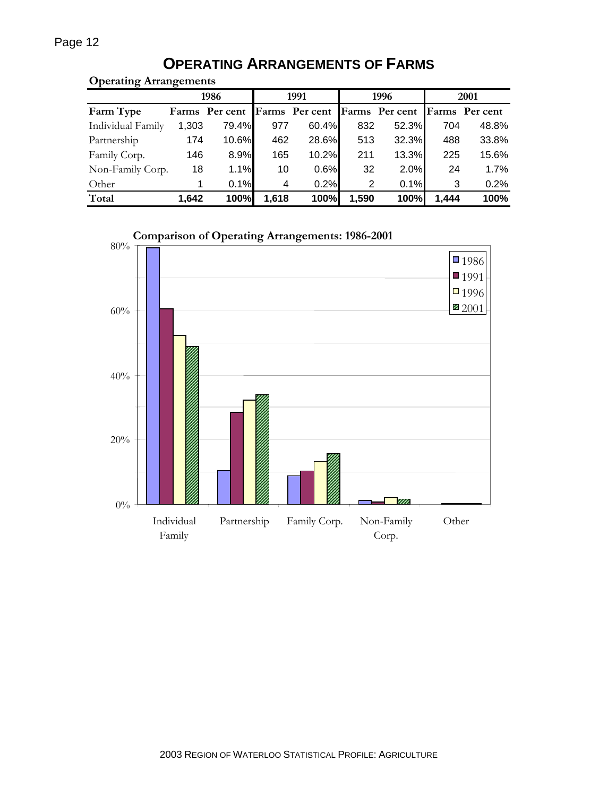|  | <b>OPERATING ARRANGEMENTS OF FARMS</b> |  |
|--|----------------------------------------|--|
|--|----------------------------------------|--|

|                   |       | 1986           | 1991  |                | 1996  |                               | 2001  |       |
|-------------------|-------|----------------|-------|----------------|-------|-------------------------------|-------|-------|
| Farm Type         |       | Farms Per cent |       | Farms Per cent |       | Farms Per cent Farms Per cent |       |       |
| Individual Family | 1,303 | 79.4%          | 977   | 60.4%          | 832   | 52.3%                         | 704   | 48.8% |
| Partnership       | 174   | 10.6%          | 462   | 28.6%          | 513   | 32.3%                         | 488   | 33.8% |
| Family Corp.      | 146   | 8.9%           | 165   | 10.2%          | 211   | 13.3%                         | 225   | 15.6% |
| Non-Family Corp.  | 18    | 1.1%           | 10    | 0.6%           | 32    | 2.0%                          | 24    | 1.7%  |
| Other             | 1     | 0.1%           | 4     | 0.2%           | 2     | 0.1%                          | 3     | 0.2%  |
| Total             | 1,642 | 100%           | 1,618 | 100%           | 1,590 | 100%                          | 1,444 | 100%  |

## **Operating Arrangements**



**Comparison of Operating Arrangements: 1986-2001**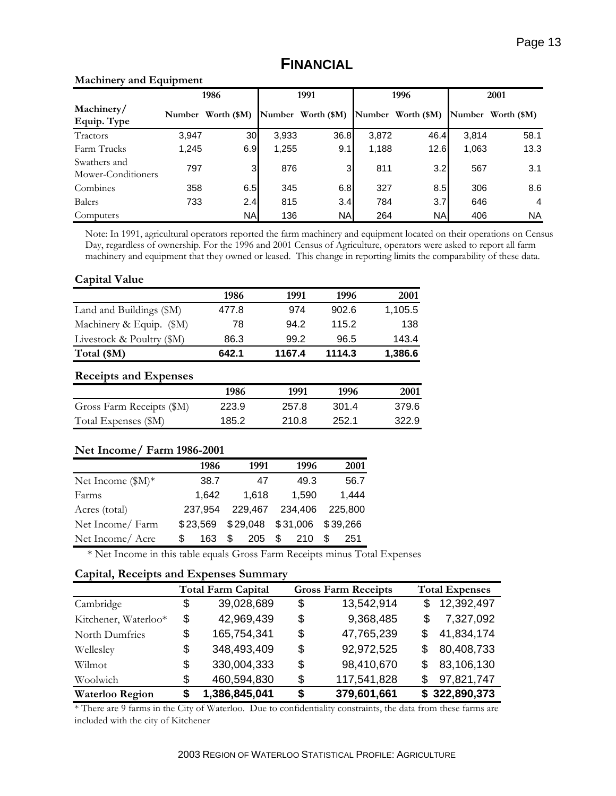|                                    | 1986   |              | 1991  |                    | 1996  |                    | 2001  |                    |
|------------------------------------|--------|--------------|-------|--------------------|-------|--------------------|-------|--------------------|
| Machinery/<br>Equip. Type          | Number | Worth (\$M)  |       | Number Worth (\$M) |       | Number Worth (\$M) |       | Number Worth (\$M) |
| Tractors                           | 3.947  | 30           | 3,933 | 36.8               | 3,872 | 46.4               | 3,814 | 58.1               |
| Farm Trucks                        | 1,245  | 6.9          | 1,255 | 9.1                | 1,188 | 12.6               | 1,063 | 13.3               |
| Swathers and<br>Mower-Conditioners | 797    | $\mathbf{3}$ | 876   | 3                  | 811   | 3.2                | 567   | 3.1                |
| Combines                           | 358    | 6.5          | 345   | 6.8                | 327   | 8.5                | 306   | 8.6                |
| <b>Balers</b>                      | 733    | 2.4          | 815   | 3.4                | 784   | 3.7                | 646   | 4                  |
| Computers                          |        | <b>NA</b>    | 136   | <b>NA</b>          | 264   | <b>NA</b>          | 406   | <b>NA</b>          |

### **FINANCIAL**

Note: In 1991, agricultural operators reported the farm machinery and equipment located on their operations on Census Day, regardless of ownership. For the 1996 and 2001 Census of Agriculture, operators were asked to report all farm machinery and equipment that they owned or leased. This change in reporting limits the comparability of these data.

#### **Capital Value**

**Machinery and Equipment**

|                              | 1986  | 1991   | 1996   | 2001    |
|------------------------------|-------|--------|--------|---------|
| Land and Buildings (\$M)     | 477.8 | 974    | 902.6  | 1,105.5 |
| Machinery & Equip.<br>(SM)   | 78    | 94.2   | 115.2  | 138     |
| Livestock & Poultry (\$M)    | 86.3  | 99.2   | 96.5   | 143.4   |
| Total (\$M)                  | 642.1 | 1167.4 | 1114.3 | 1,386.6 |
| <b>Receipts and Expenses</b> |       |        |        |         |
|                              | 1986  | 1991   | 1996   | 2001    |
| Gross Farm Receipts (\$M)    | 223.9 | 257.8  | 301.4  | 379.6   |

Total Expenses (\$M) 185.2 210.8 252.1 322.9

#### **Net Income/ Farm 1986-2001**

|                      |          | 1986    |     | 1991            |                            | 1996  |     | 2001    |
|----------------------|----------|---------|-----|-----------------|----------------------------|-------|-----|---------|
| Net Income $(\$M)^*$ |          | 38.7    |     | 47              |                            | 49.3  |     | 56.7    |
| Farms                |          | 1.642   |     | 1.618           |                            | 1.590 |     | 1,444   |
| Acres (total)        |          | 237.954 |     | 229,467 234,406 |                            |       |     | 225,800 |
| Net Income/Farm      | \$23,569 |         |     |                 | \$29,048 \$31,006 \$39,266 |       |     |         |
| Net Income/Acre      | \$.      | 163     | \$. | 205             | \$.                        | 210   | \$. | 251     |

\* Net Income in this table equals Gross Farm Receipts minus Total Expenses

#### **Capital, Receipts and Expenses Summary**

|                        | <b>Total Farm Capital</b> |    | <b>Gross Farm Receipts</b> | <b>Total Expenses</b> |               |  |
|------------------------|---------------------------|----|----------------------------|-----------------------|---------------|--|
| Cambridge              | \$<br>39,028,689          | \$ | 13,542,914                 | S                     | 12,392,497    |  |
| Kitchener, Waterloo*   | \$<br>42,969,439          | \$ | 9,368,485                  | S                     | 7,327,092     |  |
| North Dumfries         | \$<br>165,754,341         | \$ | 47,765,239                 | S                     | 41,834,174    |  |
| Wellesley              | \$<br>348,493,409         | \$ | 92,972,525                 | S                     | 80,408,733    |  |
| Wilmot                 | \$<br>330,004,333         | \$ | 98,410,670                 | S                     | 83,106,130    |  |
| Woolwich               | \$<br>460,594,830         | \$ | 117,541,828                | S                     | 97,821,747    |  |
| <b>Waterloo Region</b> | 1,386,845,041             | S  | 379,601,661                |                       | \$322,890,373 |  |

\* There are 9 farms in the City of Waterloo. Due to confidentiality constraints, the data from these farms are included with the city of Kitchener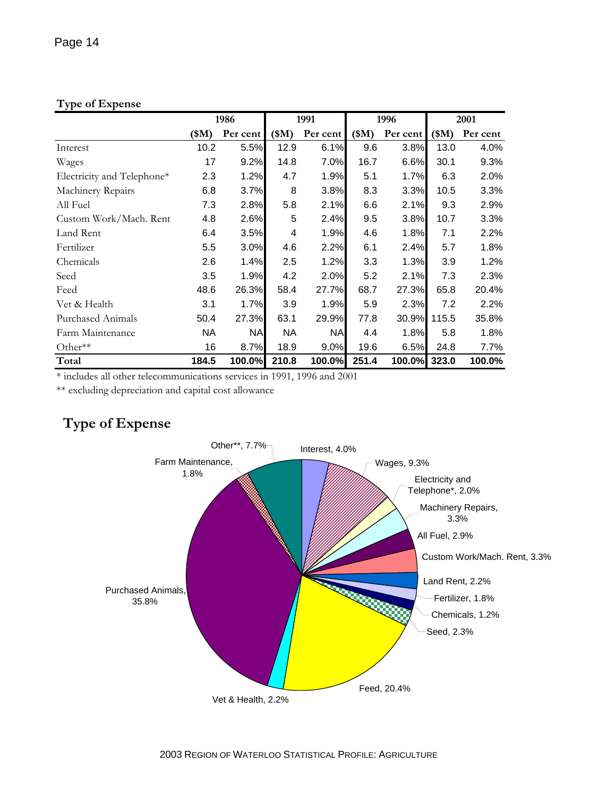#### **Type of Expense**

|                            | 1986      |           |           | 1991      |        | 1996     |       | 2001     |  |
|----------------------------|-----------|-----------|-----------|-----------|--------|----------|-------|----------|--|
|                            | (\$M)     | Per cent  | \$M\$)    | Per cent  | \$M\$) | Per cent | (\$M) | Per cent |  |
| Interest                   | 10.2      | 5.5%      | 12.9      | 6.1%      | 9.6    | 3.8%     | 13.0  | 4.0%     |  |
| Wages                      | 17        | 9.2%      | 14.8      | 7.0%      | 16.7   | 6.6%     | 30.1  | 9.3%     |  |
| Electricity and Telephone* | 2.3       | 1.2%      | 4.7       | 1.9%      | 5.1    | 1.7%     | 6.3   | 2.0%     |  |
| Machinery Repairs          | 6.8       | 3.7%      | 8         | 3.8%      | 8.3    | 3.3%     | 10.5  | 3.3%     |  |
| All Fuel                   | 7.3       | 2.8%      | 5.8       | 2.1%      | 6.6    | 2.1%     | 9.3   | 2.9%     |  |
| Custom Work/Mach. Rent     | 4.8       | 2.6%      | 5         | 2.4%      | 9.5    | 3.8%     | 10.7  | 3.3%     |  |
| Land Rent                  | 6.4       | 3.5%      | 4         | 1.9%      | 4.6    | 1.8%     | 7.1   | 2.2%     |  |
| Fertilizer                 | 5.5       | 3.0%      | 4.6       | 2.2%      | 6.1    | 2.4%     | 5.7   | 1.8%     |  |
| Chemicals                  | 2.6       | 1.4%      | 2.5       | 1.2%      | 3.3    | 1.3%     | 3.9   | 1.2%     |  |
| Seed                       | 3.5       | 1.9%      | 4.2       | 2.0%      | 5.2    | 2.1%     | 7.3   | 2.3%     |  |
| Feed                       | 48.6      | 26.3%     | 58.4      | 27.7%     | 68.7   | 27.3%    | 65.8  | 20.4%    |  |
| Vet & Health               | 3.1       | 1.7%      | 3.9       | 1.9%      | 5.9    | 2.3%     | 7.2   | 2.2%     |  |
| Purchased Animals          | 50.4      | 27.3%     | 63.1      | 29.9%     | 77.8   | 30.9%    | 115.5 | 35.8%    |  |
| Farm Maintenance           | <b>NA</b> | <b>NA</b> | <b>NA</b> | <b>NA</b> | 4.4    | 1.8%     | 5.8   | 1.8%     |  |
| Other $**$                 | 16        | 8.7%      | 18.9      | 9.0%      | 19.6   | 6.5%     | 24.8  | 7.7%     |  |
| Total                      | 184.5     | 100.0%    | 210.8     | 100.0%    | 251.4  | 100.0%   | 323.0 | 100.0%   |  |

\* includes all other telecommunications services in 1991, 1996 and 2001

\*\* excluding depreciation and capital cost allowance

### **Type of Expense**

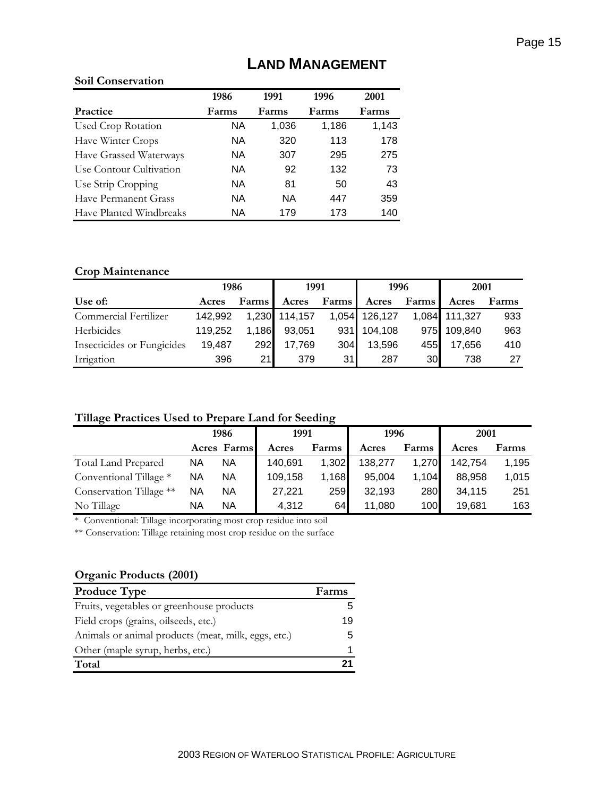| <b>Soil Conservation</b> |       |           |       |       |
|--------------------------|-------|-----------|-------|-------|
|                          | 1986  | 1991      | 1996  | 2001  |
| <b>Practice</b>          | Farms | Farms     | Farms | Farms |
| Used Crop Rotation       | NA.   | 1,036     | 1,186 | 1,143 |
| Have Winter Crops        | NA.   | 320       | 113   | 178   |
| Have Grassed Waterways   | NA.   | 307       | 295   | 275   |
| Use Contour Cultivation  | NA.   | 92        | 132   | 73    |
| Use Strip Cropping       | NA.   | 81        | 50    | 43    |
| Have Permanent Grass     | NA.   | <b>NA</b> | 447   | 359   |
| Have Planted Windbreaks  | NA.   | 179       | 173   | 140   |

### **LAND MANAGEMENT**

#### **Crop Maintenance**

|                            | 1986    |       | 1991    |       | 1996    |       | 2001    |       |
|----------------------------|---------|-------|---------|-------|---------|-------|---------|-------|
| Use of:                    | Acres   | Farms | Acres   | Farms | Acres   | Farms | Acres   | Farms |
| Commercial Fertilizer      | 142,992 | 1,230 | 114,157 | 1,054 | 126,127 | 1,084 | 111,327 | 933   |
| Herbicides                 | 119,252 | 1,186 | 93,051  | 931   | 104,108 | 975   | 109,840 | 963   |
| Insecticides or Fungicides | 19,487  | 292   | 17,769  | 304   | 13,596  | 455   | 17,656  | 410   |
| Irrigation                 | 396     | 21    | 379     | 31I   | 287     | 30    | 738     | 27    |

#### **Tillage Practices Used to Prepare Land for Seeding**

|                         | 1986 |             | 1991    |       | 1996    |       | 2001    |       |
|-------------------------|------|-------------|---------|-------|---------|-------|---------|-------|
|                         |      | Acres Farms | Acres   | Farms | Acres   | Farms | Acres   | Farms |
| Total Land Prepared     | ΝA   | <b>NA</b>   | 140,691 | 1,302 | 138,277 | 1,270 | 142,754 | 1,195 |
| Conventional Tillage *  | ΝA   | <b>NA</b>   | 109,158 | 1,168 | 95,004  | 1,104 | 88,958  | 1,015 |
| Conservation Tillage ** | ΝA   | <b>NA</b>   | 27,221  | 259   | 32,193  | 280   | 34,115  | 251   |
| No Tillage              | NA   | NA.         | 4,312   | 64    | 11,080  | 100   | 19,681  | 163   |

\* Conventional: Tillage incorporating most crop residue into soil

\*\* Conservation: Tillage retaining most crop residue on the surface

#### **Organic Products (2001)**

| <b>Produce Type</b>                                 | Farms |
|-----------------------------------------------------|-------|
| Fruits, vegetables or greenhouse products           | h     |
| Field crops (grains, oilseeds, etc.)                | 19    |
| Animals or animal products (meat, milk, eggs, etc.) | h     |
| Other (maple syrup, herbs, etc.)                    | 1     |
| Total                                               |       |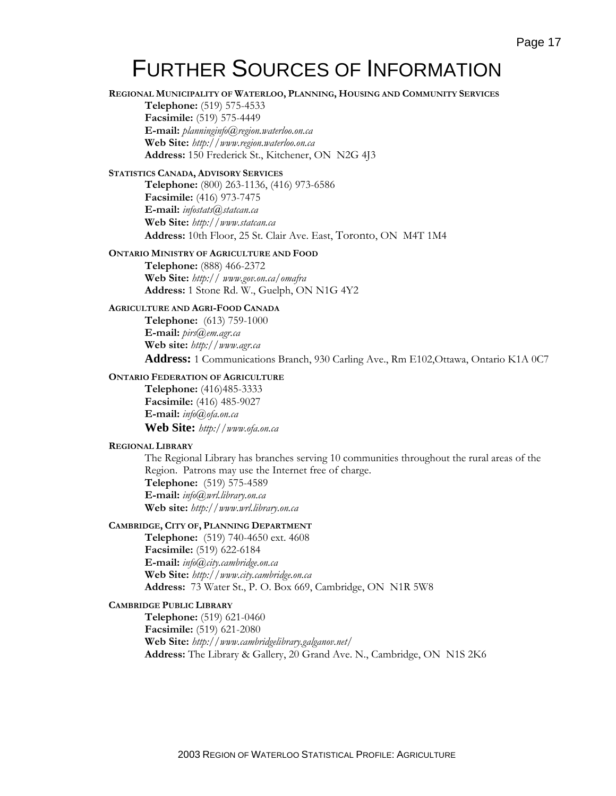## FURTHER SOURCES OF INFORMATION

#### **REGIONAL MUNICIPALITY OF WATERLOO, PLANNING, HOUSING AND COMMUNITY SERVICES**

**Telephone:** (519) 575-4533 **Facsimile:** (519) 575-4449 **E-mail:** *planninginfo@region.waterloo.on.ca* **Web Site:** *http://www.region.waterloo.on.ca* **Address:** 150 Frederick St., Kitchener, ON N2G 4J3

#### **STATISTICS CANADA, ADVISORY SERVICES**

**Telephone:** (800) 263-1136, (416) 973-6586 **Facsimile:** (416) 973-7475 **E-mail:** *infostats@statcan.ca* **Web Site:** *http://www.statcan.ca* **Address:** 10th Floor, 25 St. Clair Ave. East, Toronto, ON M4T 1M4

#### **ONTARIO MINISTRY OF AGRICULTURE AND FOOD**

**Telephone:** (888) 466-2372 **Web Site:** *http:// www.gov.on.ca/omafra* **Address:** 1 Stone Rd. W., Guelph, ON N1G 4Y2

#### **AGRICULTURE AND AGRI-FOOD CANADA**

**Telephone:** (613) 759-1000 **E-mail:** *pirs@em.agr.ca* **Web site:** *http://www.agr.ca*  **Address:** 1 Communications Branch, 930 Carling Ave., Rm E102,Ottawa, Ontario K1A 0C7

#### **ONTARIO FEDERATION OF AGRICULTURE**

**Telephone:** (416)485-3333 **Facsimile:** (416) 485-9027 **E-mail:** *info@ofa.on.ca* **Web Site:** *http://www.ofa.on.ca*

#### **REGIONAL LIBRARY**

The Regional Library has branches serving 10 communities throughout the rural areas of the Region. Patrons may use the Internet free of charge. **Telephone:** (519) 575-4589 **E-mail:** *info@wrl.library.on.ca* **Web site:** *http://www.wrl.library.on.ca*

#### **CAMBRIDGE, CITY OF, PLANNING DEPARTMENT**

**Telephone:** (519) 740-4650 ext. 4608 **Facsimile:** (519) 622-6184 **E-mail:** *info@city.cambridge.on.ca* **Web Site:** *http://www.city.cambridge.on.ca* **Address:** 73 Water St., P. O. Box 669, Cambridge, ON N1R 5W8

#### **CAMBRIDGE PUBLIC LIBRARY**

**Telephone:** (519) 621-0460 **Facsimile:** (519) 621-2080 **Web Site:** *http://www.cambridgelibrary.galganov.net*/ **Address:** The Library & Gallery, 20 Grand Ave. N., Cambridge, ON N1S 2K6